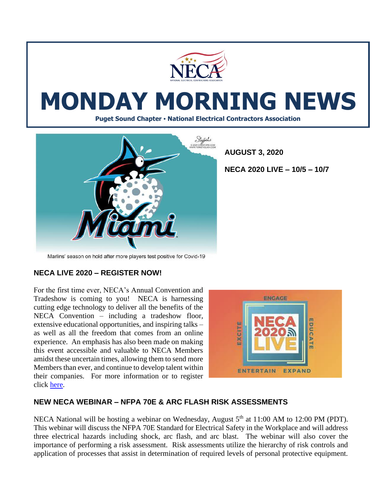

# **MONDAY MORNING NEWS**

**Puget Sound Chapter • National Electrical Contractors Association**



**AUGUST 3, 2020**

**NECA 2020 LIVE – 10/5 – 10/7**

Marlins' season on hold after more players test positive for Covid-19

## **NECA LIVE 2020 – REGISTER NOW!**

For the first time ever, NECA's Annual Convention and Tradeshow is coming to you! NECA is harnessing cutting edge technology to deliver all the benefits of the NECA Convention – including a tradeshow floor, extensive educational opportunities, and inspiring talks – as well as all the freedom that comes from an online experience. An emphasis has also been made on making this event accessible and valuable to NECA Members amidst these uncertain times, allowing them to send more Members than ever, and continue to develop talent within their companies. For more information or to register click [here.](https://reg.cmrus.com/neca2020/)



#### **NEW NECA WEBINAR – NFPA 70E & ARC FLASH RISK ASSESSMENTS**

NECA National will be hosting a webinar on Wednesday, August 5<sup>th</sup> at 11:00 AM to 12:00 PM (PDT). This webinar will discuss the NFPA 70E Standard for Electrical Safety in the Workplace and will address three electrical hazards including shock, arc flash, and arc blast. The webinar will also cover the importance of performing a risk assessment. Risk assessments utilize the hierarchy of risk controls and application of processes that assist in determination of required levels of personal protective equipment.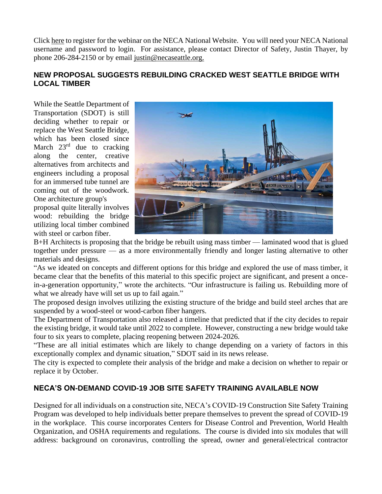Clic[k here](https://courses.necanet.org/course/session/details/697) to register for the webinar on the NECA National Website. You will need your NECA National username and password to login. For assistance, please contact Director of Safety, Justin Thayer, by phone 206-284-2150 or by email [justin@necaseattle.org.](mailto:justin@necaseattle.org)

## **NEW PROPOSAL SUGGESTS REBUILDING CRACKED WEST SEATTLE BRIDGE WITH LOCAL TIMBER**

While the Seattle Department of Transportation (SDOT) is still deciding whether to [repair or](https://www.seattlepi.com/news/article/West-Seattle-Bridge-repair-cost-benefit-analysis-15427093.php)  [replace](https://www.seattlepi.com/news/article/West-Seattle-Bridge-repair-cost-benefit-analysis-15427093.php) the West Seattle Bridge, which has been closed since March  $23<sup>rd</sup>$  due to cracking along the center, creative alternatives from architects and engineers including a proposal for an [immersed tube tunnel](https://www.seattlepi.com/local/seattlenews/article/west-seattle-bridge-tunnel-repair-timeline-15330639.php) are coming out of the woodwork. One architecture group's proposal quite literally involves wood: rebuilding the bridge utilizing local timber combined

with steel or carbon fiber.



[B+H Architects](https://bharchitects.com/en/) is proposing that the bridge be rebuilt using mass timber — laminated wood that is glued together under pressure — as a more environmentally friendly and longer lasting alternative to other materials and designs.

"As we ideated on concepts and different options for this bridge and explored the use of mass timber, it became clear that the benefits of this material to this specific project are significant, and present a oncein-a-generation opportunity," wrote the architects. "Our infrastructure is failing us. Rebuilding more of what we already have will set us up to fail again."

The proposed design involves utilizing the existing structure of the bridge and build steel arches that are suspended by a wood-steel or wood-carbon fiber hangers.

The Department of Transportation also released a timeline that predicted that if the city decides to repair the existing bridge, it would take until 2022 to complete. However, constructing a new bridge would take four to six years to complete, placing reopening between 2024-2026.

"These are all initial estimates which are likely to change depending on a variety of factors in this exceptionally complex and dynamic situation," SDOT said in its news release.

The city is expected to complete their analysis of the bridge and make a decision on whether to repair or replace it by October.

## **NECA'S ON-DEMAND COVID-19 JOB SITE SAFETY TRAINING AVAILABLE NOW**

Designed for all individuals on a construction site, NECA's COVID-19 Construction Site Safety Training Program was developed to help individuals better prepare themselves to prevent the spread of COVID-19 in the workplace. This course incorporates Centers for Disease Control and Prevention, World Health Organization, and OSHA requirements and regulations. The course is divided into six modules that will address: background on coronavirus, controlling the spread, owner and general/electrical contractor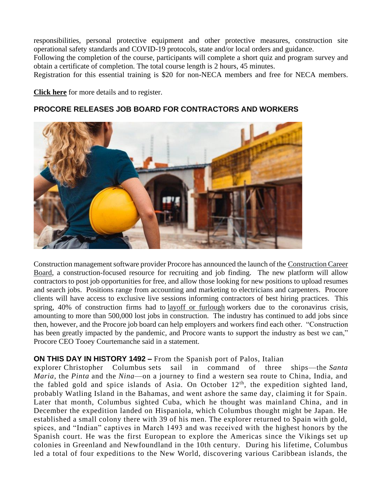responsibilities, personal protective equipment and other protective measures, construction site operational safety standards and COVID-19 protocols, state and/or local orders and guidance.

Following the completion of the course, participants will complete a short quiz and program survey and obtain a certificate of completion. The total course length is 2 hours, 45 minutes.

Registration for this essential training is \$20 for non-NECA members and free for NECA members.

**[Click here](https://courses.necanet.org/course/details/539)** for more details and to register.

#### **PROCORE RELEASES JOB BOARD FOR CONTRACTORS AND WORKERS**

![](_page_2_Picture_5.jpeg)

Construction management software provider Procore has announced the launch of the [Construction Career](https://procoreconstructionjobboard.birddoghr.com/)  [Board,](https://procoreconstructionjobboard.birddoghr.com/) a construction-focused resource for recruiting and job finding. The new platform will allow contractors to post job opportunities for free, and allow those looking for new positions to upload resumes and search jobs. Positions range from accounting and marketing to electricians and carpenters. Procore clients will have access to exclusive live sessions informing contractors of best hiring practices. This spring, 40% of construction firms had to [layoff or furlough](https://www.constructiondive.com/news/in-coronavirus-crisis-us-construction-firms-begin-turning-to-layoffs-furl/575772/) workers due to the coronavirus crisis, amounting to more than 500,000 lost jobs in construction. The industry has continued to add jobs since then, however, and the Procore job board can help employers and workers find each other. "Construction has been greatly impacted by the pandemic, and Procore wants to support the industry as best we can," Procore CEO Tooey Courtemanche said in a statement.

#### **ON THIS DAY IN HISTORY 1492 –** From the Spanish port of Palos, Italian

explorer [Christopher Columbus](https://www.history.com/topics/exploration/christopher-columbus) sets sail in command of three ships—the *[Santa](https://www.history.com/news/christopher-columbus-ships-caravels)  Maria,* the *Pinta* [and the](https://www.history.com/news/christopher-columbus-ships-caravels) *Nina*—on a journey to find a western sea route to China, India, and the fabled gold and spice islands of Asia. On October  $12<sup>th</sup>$ , the expedition sighted land, probably Watling Island in the Bahamas, and went ashore the same day, claiming it for Spain. Later that month, Columbus sighted Cuba, which he thought was mainland China, and in December the expedition landed on Hispaniola, which Columbus thought might be Japan. He established a small colony there with 39 of his men. The explorer returned to Spain with gold, spices, and "Indian" captives in March 1493 and was received with the highest honors by the Spanish court. He was the first European to explore the Americas since the [Vikings](https://www.history.com/topics/exploration/vikings-history) set up colonies in Greenland and Newfoundland in the 10th century. During his lifetime, Columbus led a total of four expeditions to the New World, discovering various Caribbean islands, the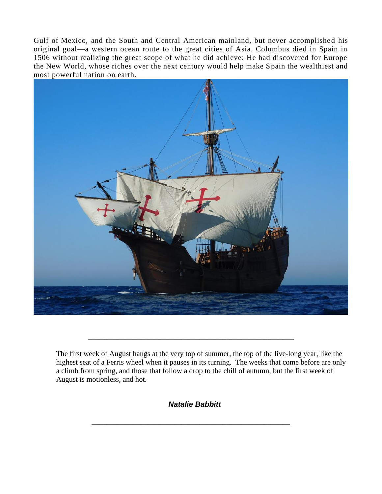Gulf of [Mexico,](https://www.history.com/topics/mexico) and the South and Central American mainland, but never accomplished his original goal—a western ocean route to the great cities of Asia. Columbus died in Spain in 1506 without realizing the great scope of what he did achieve: He had discovered for Europe the New World, whose riches over the next century would help make Spain the wealthiest and most powerful nation on earth.

![](_page_3_Picture_1.jpeg)

The first week of August hangs at the very top of summer, the top of the live-long year, like the highest seat of a Ferris wheel when it pauses in its turning. The weeks that come before are only a climb from spring, and those that follow a drop to the chill of autumn, but the first week of August is motionless, and hot.

\_\_\_\_\_\_\_\_\_\_\_\_\_\_\_\_\_\_\_\_\_\_\_\_\_\_\_\_\_\_\_\_\_\_\_\_\_\_\_\_\_\_\_\_\_\_\_\_\_\_\_\_\_\_\_

*Natalie Babbitt*

\_\_\_\_\_\_\_\_\_\_\_\_\_\_\_\_\_\_\_\_\_\_\_\_\_\_\_\_\_\_\_\_\_\_\_\_\_\_\_\_\_\_\_\_\_\_\_\_\_\_\_\_\_